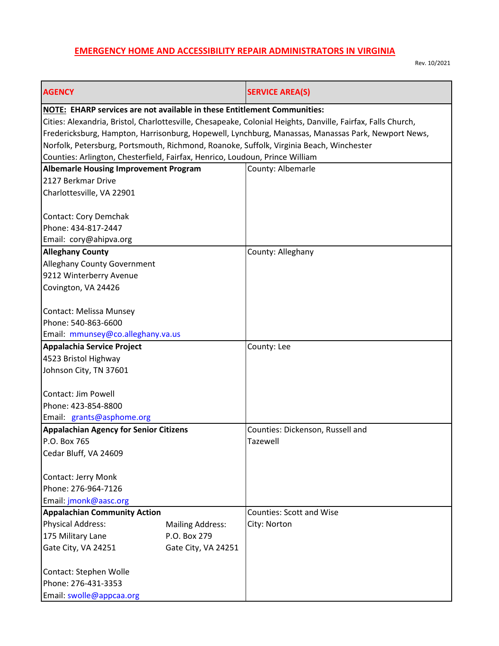## **EMERGENCY HOME AND ACCESSIBILITY REPAIR ADMINISTRATORS IN VIRGINIA**

Rev. 10/2021

| <b>AGENCY</b>                                                                           |                                         | <b>SERVICE AREA(S)</b>                                                                                       |  |  |
|-----------------------------------------------------------------------------------------|-----------------------------------------|--------------------------------------------------------------------------------------------------------------|--|--|
| NOTE: EHARP services are not available in these Entitlement Communities:                |                                         |                                                                                                              |  |  |
|                                                                                         |                                         | Cities: Alexandria, Bristol, Charlottesville, Chesapeake, Colonial Heights, Danville, Fairfax, Falls Church, |  |  |
|                                                                                         |                                         | Fredericksburg, Hampton, Harrisonburg, Hopewell, Lynchburg, Manassas, Manassas Park, Newport News,           |  |  |
| Norfolk, Petersburg, Portsmouth, Richmond, Roanoke, Suffolk, Virginia Beach, Winchester |                                         |                                                                                                              |  |  |
| Counties: Arlington, Chesterfield, Fairfax, Henrico, Loudoun, Prince William            |                                         |                                                                                                              |  |  |
| <b>Albemarle Housing Improvement Program</b>                                            |                                         | County: Albemarle                                                                                            |  |  |
| 2127 Berkmar Drive                                                                      |                                         |                                                                                                              |  |  |
| Charlottesville, VA 22901                                                               |                                         |                                                                                                              |  |  |
|                                                                                         |                                         |                                                                                                              |  |  |
| <b>Contact: Cory Demchak</b>                                                            |                                         |                                                                                                              |  |  |
| Phone: 434-817-2447                                                                     |                                         |                                                                                                              |  |  |
| Email: cory@ahipva.org                                                                  |                                         |                                                                                                              |  |  |
| <b>Alleghany County</b>                                                                 |                                         | County: Alleghany                                                                                            |  |  |
| <b>Alleghany County Government</b>                                                      |                                         |                                                                                                              |  |  |
| 9212 Winterberry Avenue                                                                 |                                         |                                                                                                              |  |  |
| Covington, VA 24426                                                                     |                                         |                                                                                                              |  |  |
|                                                                                         |                                         |                                                                                                              |  |  |
| <b>Contact: Melissa Munsey</b>                                                          |                                         |                                                                                                              |  |  |
| Phone: 540-863-6600                                                                     |                                         |                                                                                                              |  |  |
| Email: mmunsey@co.alleghany.va.us                                                       |                                         |                                                                                                              |  |  |
| Appalachia Service Project                                                              |                                         | County: Lee                                                                                                  |  |  |
| 4523 Bristol Highway                                                                    |                                         |                                                                                                              |  |  |
| Johnson City, TN 37601                                                                  |                                         |                                                                                                              |  |  |
|                                                                                         |                                         |                                                                                                              |  |  |
| Contact: Jim Powell                                                                     |                                         |                                                                                                              |  |  |
| Phone: 423-854-8800                                                                     |                                         |                                                                                                              |  |  |
| Email: grants@asphome.org                                                               |                                         |                                                                                                              |  |  |
| <b>Appalachian Agency for Senior Citizens</b>                                           |                                         | Counties: Dickenson, Russell and                                                                             |  |  |
| P.O. Box 765                                                                            |                                         | Tazewell                                                                                                     |  |  |
| Cedar Bluff, VA 24609                                                                   |                                         |                                                                                                              |  |  |
|                                                                                         |                                         |                                                                                                              |  |  |
| <b>Contact: Jerry Monk</b>                                                              |                                         |                                                                                                              |  |  |
| Phone: 276-964-7126                                                                     |                                         |                                                                                                              |  |  |
| Email: jmonk@aasc.org<br><b>Appalachian Community Action</b>                            |                                         | <b>Counties: Scott and Wise</b>                                                                              |  |  |
| <b>Physical Address:</b>                                                                |                                         |                                                                                                              |  |  |
| 175 Military Lane                                                                       | <b>Mailing Address:</b><br>P.O. Box 279 | City: Norton                                                                                                 |  |  |
| Gate City, VA 24251                                                                     | Gate City, VA 24251                     |                                                                                                              |  |  |
|                                                                                         |                                         |                                                                                                              |  |  |
| Contact: Stephen Wolle                                                                  |                                         |                                                                                                              |  |  |
| Phone: 276-431-3353                                                                     |                                         |                                                                                                              |  |  |
| Email: swolle@appcaa.org                                                                |                                         |                                                                                                              |  |  |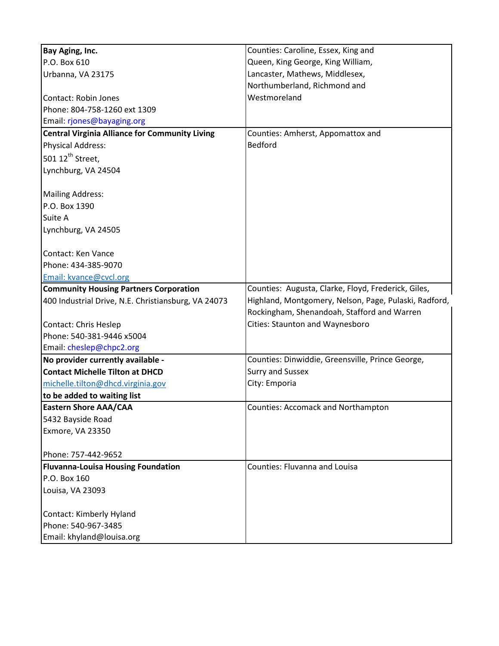| Bay Aging, Inc.                                       | Counties: Caroline, Essex, King and                   |
|-------------------------------------------------------|-------------------------------------------------------|
| P.O. Box 610                                          | Queen, King George, King William,                     |
| Urbanna, VA 23175                                     | Lancaster, Mathews, Middlesex,                        |
|                                                       | Northumberland, Richmond and                          |
| <b>Contact: Robin Jones</b>                           | Westmoreland                                          |
| Phone: 804-758-1260 ext 1309                          |                                                       |
| Email: rjones@bayaging.org                            |                                                       |
| <b>Central Virginia Alliance for Community Living</b> | Counties: Amherst, Appomattox and                     |
| <b>Physical Address:</b>                              | <b>Bedford</b>                                        |
| 501 12 <sup>th</sup> Street,                          |                                                       |
| Lynchburg, VA 24504                                   |                                                       |
|                                                       |                                                       |
| <b>Mailing Address:</b>                               |                                                       |
| P.O. Box 1390                                         |                                                       |
| Suite A                                               |                                                       |
| Lynchburg, VA 24505                                   |                                                       |
|                                                       |                                                       |
| Contact: Ken Vance                                    |                                                       |
| Phone: 434-385-9070                                   |                                                       |
| Email: kvance@cvcl.org                                |                                                       |
| <b>Community Housing Partners Corporation</b>         | Counties: Augusta, Clarke, Floyd, Frederick, Giles,   |
| 400 Industrial Drive, N.E. Christiansburg, VA 24073   | Highland, Montgomery, Nelson, Page, Pulaski, Radford, |
|                                                       | Rockingham, Shenandoah, Stafford and Warren           |
| Contact: Chris Heslep                                 | Cities: Staunton and Waynesboro                       |
| Phone: 540-381-9446 x5004                             |                                                       |
| Email: cheslep@chpc2.org                              |                                                       |
| No provider currently available -                     | Counties: Dinwiddie, Greensville, Prince George,      |
| <b>Contact Michelle Tilton at DHCD</b>                | <b>Surry and Sussex</b>                               |
| michelle.tilton@dhcd.virginia.gov                     | City: Emporia                                         |
| to be added to waiting list                           |                                                       |
| <b>Eastern Shore AAA/CAA</b>                          | <b>Counties: Accomack and Northampton</b>             |
| 5432 Bayside Road                                     |                                                       |
| Exmore, VA 23350                                      |                                                       |
|                                                       |                                                       |
| Phone: 757-442-9652                                   |                                                       |
| <b>Fluvanna-Louisa Housing Foundation</b>             | <b>Counties: Fluvanna and Louisa</b>                  |
| P.O. Box 160                                          |                                                       |
| Louisa, VA 23093                                      |                                                       |
|                                                       |                                                       |
| Contact: Kimberly Hyland                              |                                                       |
| Phone: 540-967-3485                                   |                                                       |
| Email: khyland@louisa.org                             |                                                       |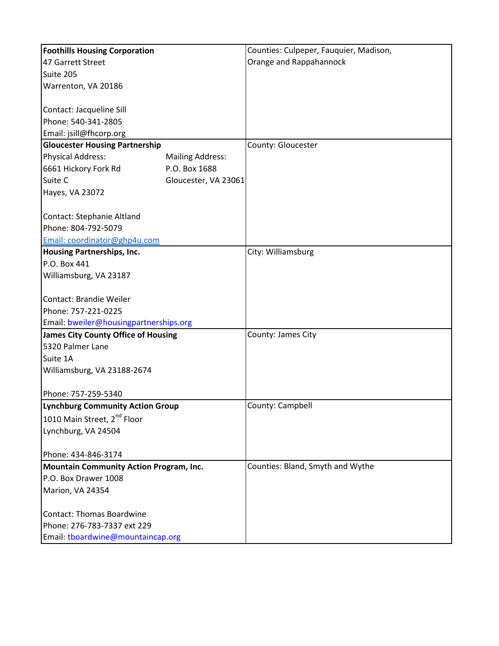| <b>Foothills Housing Corporation</b>       |                         | Counties: Culpeper, Fauquier, Madison, |
|--------------------------------------------|-------------------------|----------------------------------------|
| 47 Garrett Street                          |                         | Orange and Rappahannock                |
| Suite 205                                  |                         |                                        |
| Warrenton, VA 20186                        |                         |                                        |
|                                            |                         |                                        |
| Contact: Jacqueline Sill                   |                         |                                        |
| Phone: 540-341-2805                        |                         |                                        |
| Email: jsill@fhcorp.org                    |                         |                                        |
| <b>Gloucester Housing Partnership</b>      |                         | County: Gloucester                     |
| <b>Physical Address:</b>                   | <b>Mailing Address:</b> |                                        |
| 6661 Hickory Fork Rd                       | P.O. Box 1688           |                                        |
| Suite C                                    | Gloucester, VA 23061    |                                        |
| Hayes, VA 23072                            |                         |                                        |
|                                            |                         |                                        |
| Contact: Stephanie Altland                 |                         |                                        |
| Phone: 804-792-5079                        |                         |                                        |
| Email: coordinator@ghp4u.com               |                         |                                        |
| <b>Housing Partnerships, Inc.</b>          |                         | City: Williamsburg                     |
| P.O. Box 441                               |                         |                                        |
| Williamsburg, VA 23187                     |                         |                                        |
|                                            |                         |                                        |
| Contact: Brandie Weiler                    |                         |                                        |
| Phone: 757-221-0225                        |                         |                                        |
| Email: bweiler@housingpartnerships.org     |                         |                                        |
| <b>James City County Office of Housing</b> |                         | County: James City                     |
| 5320 Palmer Lane                           |                         |                                        |
| Suite 1A                                   |                         |                                        |
| Williamsburg, VA 23188-2674                |                         |                                        |
|                                            |                         |                                        |
| Phone: 757-259-5340                        |                         |                                        |
| <b>Lynchburg Community Action Group</b>    |                         | County: Campbell                       |
| 1010 Main Street, 2 <sup>nd</sup> Floor    |                         |                                        |
| Lynchburg, VA 24504                        |                         |                                        |
|                                            |                         |                                        |
| Phone: 434-846-3174                        |                         |                                        |
| Mountain Community Action Program, Inc.    |                         | Counties: Bland, Smyth and Wythe       |
| P.O. Box Drawer 1008                       |                         |                                        |
| Marion, VA 24354                           |                         |                                        |
|                                            |                         |                                        |
| <b>Contact: Thomas Boardwine</b>           |                         |                                        |
| Phone: 276-783-7337 ext 229                |                         |                                        |
| Email: tboardwine@mountaincap.org          |                         |                                        |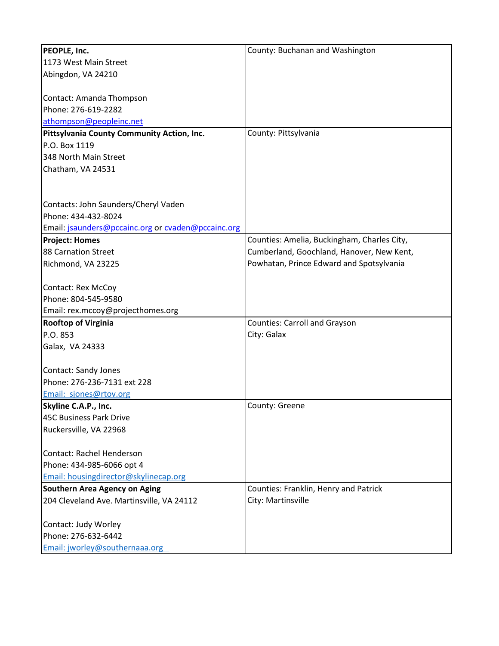| PEOPLE, Inc.                                       | County: Buchanan and Washington             |
|----------------------------------------------------|---------------------------------------------|
| 1173 West Main Street                              |                                             |
| Abingdon, VA 24210                                 |                                             |
|                                                    |                                             |
| Contact: Amanda Thompson                           |                                             |
| Phone: 276-619-2282                                |                                             |
| athompson@peopleinc.net                            |                                             |
| Pittsylvania County Community Action, Inc.         | County: Pittsylvania                        |
| P.O. Box 1119                                      |                                             |
| 348 North Main Street                              |                                             |
| Chatham, VA 24531                                  |                                             |
|                                                    |                                             |
|                                                    |                                             |
| Contacts: John Saunders/Cheryl Vaden               |                                             |
| Phone: 434-432-8024                                |                                             |
| Email: jsaunders@pccainc.org or cvaden@pccainc.org |                                             |
| <b>Project: Homes</b>                              | Counties: Amelia, Buckingham, Charles City, |
| 88 Carnation Street                                | Cumberland, Goochland, Hanover, New Kent,   |
| Richmond, VA 23225                                 | Powhatan, Prince Edward and Spotsylvania    |
|                                                    |                                             |
| <b>Contact: Rex McCoy</b>                          |                                             |
| Phone: 804-545-9580                                |                                             |
| Email: rex.mccoy@projecthomes.org                  |                                             |
| <b>Rooftop of Virginia</b>                         | <b>Counties: Carroll and Grayson</b>        |
| P.O. 853                                           | City: Galax                                 |
| Galax, VA 24333                                    |                                             |
|                                                    |                                             |
| Contact: Sandy Jones                               |                                             |
| Phone: 276-236-7131 ext 228                        |                                             |
| Email: sjones@rtov.org                             |                                             |
| Skyline C.A.P., Inc.                               | County: Greene                              |
| <b>45C Business Park Drive</b>                     |                                             |
| Ruckersville, VA 22968                             |                                             |
|                                                    |                                             |
| Contact: Rachel Henderson                          |                                             |
| Phone: 434-985-6066 opt 4                          |                                             |
| Email: housingdirector@skylinecap.org              |                                             |
| <b>Southern Area Agency on Aging</b>               | Counties: Franklin, Henry and Patrick       |
| 204 Cleveland Ave. Martinsville, VA 24112          | City: Martinsville                          |
|                                                    |                                             |
| Contact: Judy Worley                               |                                             |
| Phone: 276-632-6442                                |                                             |
| Email: jworley@southernaaa.org                     |                                             |